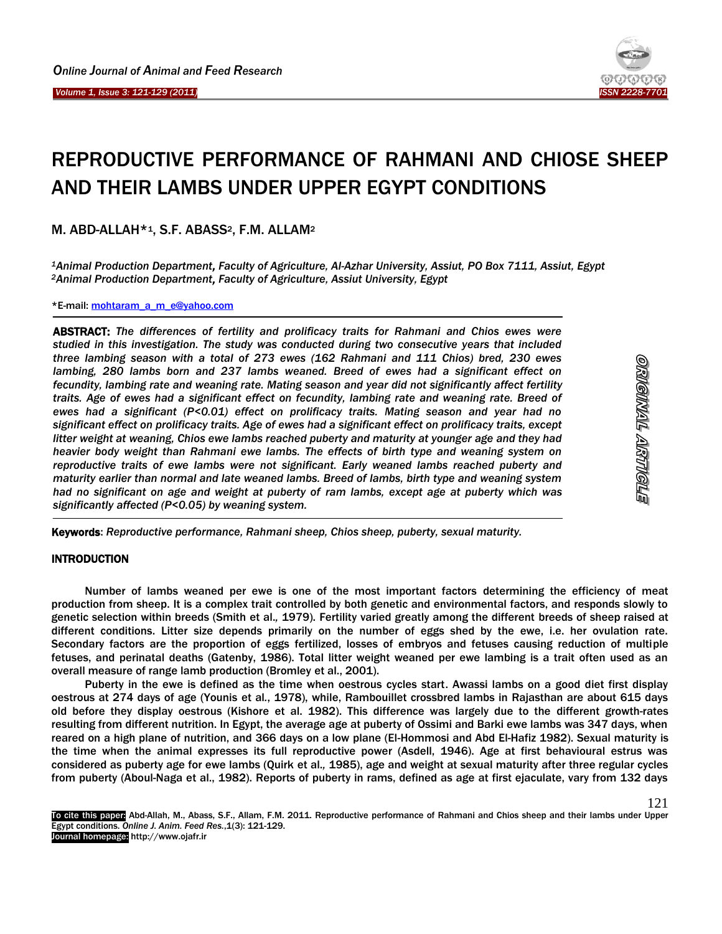Ï



# REPRODUCTIVE PERFORMANCE OF RAHMANI AND CHIOSE SHEEP AND THEIR LAMBS UNDER UPPER EGYPT CONDITIONS

M. ABD-ALLAH\*<sup>1</sup>, S.F. ABASS<sup>2</sup>, F.M. ALLAM<sup>2</sup>

*<sup>1</sup>Animal Production Department, Faculty of Agriculture, Al-Azhar University, Assiut, PO Box 7111, Assiut, Egypt <sup>2</sup>Animal Production Department, Faculty of Agriculture, Assiut University, Egypt* 

\*E-mail[: mohtaram\\_a\\_m\\_e@yahoo.com](mailto:mohtaram_a_m_e@yahoo.com)

ABSTRACT: *The differences of fertility and prolificacy traits for Rahmani and Chios ewes were studied in this investigation. The study was conducted during two consecutive years that included three lambing season with a total of 273 ewes (162 Rahmani and 111 Chios) bred, 230 ewes lambing, 280 lambs born and 237 lambs weaned. Breed of ewes had a significant effect on fecundity, lambing rate and weaning rate. Mating season and year did not significantly affect fertility traits. Age of ewes had a significant effect on fecundity, lambing rate and weaning rate. Breed of ewes had a significant (P<0.01) effect on prolificacy traits. Mating season and year had no significant effect on prolificacy traits. Age of ewes had a significant effect on prolificacy traits, except litter weight at weaning, Chios ewe lambs reached puberty and maturity at younger age and they had heavier body weight than Rahmani ewe lambs. The effects of birth type and weaning system on reproductive traits of ewe lambs were not significant. Early weaned lambs reached puberty and maturity earlier than normal and late weaned lambs. Breed of lambs, birth type and weaning system had no significant on age and weight at puberty of ram lambs, except age at puberty which was significantly affected (P<0.05) by weaning system.*

Keywords: *Reproductive performance, Rahmani sheep, Chios sheep, puberty, sexual maturity.*

## INTRODUCTION

Number of lambs weaned per ewe is one of the most important factors determining the efficiency of meat production from sheep. It is a complex trait controlled by both genetic and environmental factors, and responds slowly to genetic selection within breeds (Smith et al.*,* 1979). Fertility varied greatly among the different breeds of sheep raised at different conditions. Litter size depends primarily on the number of eggs shed by the ewe, i.e. her ovulation rate. Secondary factors are the proportion of eggs fertilized, losses of embryos and fetuses causing reduction of multiple fetuses, and perinatal deaths (Gatenby, 1986). Total litter weight weaned per ewe lambing is a trait often used as an overall measure of range lamb production (Bromley et al., 2001).

Puberty in the ewe is defined as the time when oestrous cycles start. Awassi lambs on a good diet first display oestrous at 274 days of age (Younis et al*.*, 1978), while, Rambouillet crossbred lambs in Rajasthan are about 615 days old before they display oestrous (Kishore et al. 1982). This difference was largely due to the different growth-rates resulting from different nutrition. In Egypt, the average age at puberty of Ossimi and Barki ewe lambs was 347 days, when reared on a high plane of nutrition, and 366 days on a low plane (El-Hommosi and Abd El-Hafiz 1982). Sexual maturity is the time when the animal expresses its full reproductive power (Asdell, 1946). Age at first behavioural estrus was considered as puberty age for ewe lambs (Quirk et al.*,* 1985), age and weight at sexual maturity after three regular cycles from puberty (Aboul-Naga et al., 1982). Reports of puberty in rams, defined as age at first ejaculate, vary from 132 days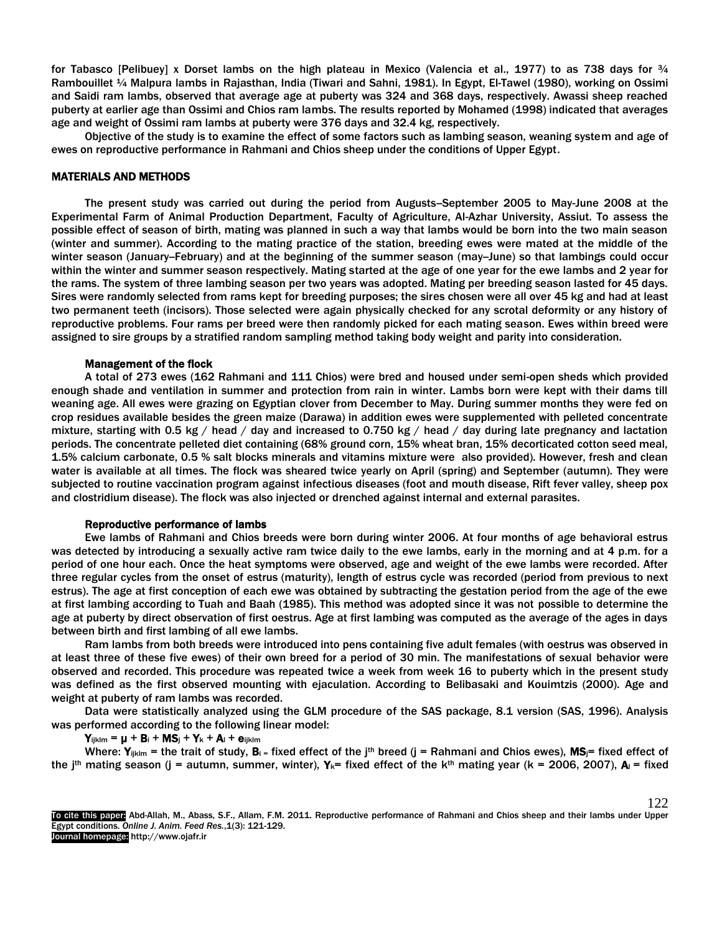for Tabasco [Pelibuey] x Dorset lambs on the high plateau in Mexico (Valencia et al., 1977) to as 738 days for  $\frac{3}{4}$ Rambouillet ¼ Malpura lambs in Rajasthan, India (Tiwari and Sahni, 1981). In Egypt, El-Tawel (1980), working on Ossimi and Saidi ram lambs, observed that average age at puberty was 324 and 368 days, respectively. Awassi sheep reached puberty at earlier age than Ossimi and Chios ram lambs. The results reported by Mohamed (1998) indicated that averages age and weight of Ossimi ram lambs at puberty were 376 days and 32.4 kg, respectively.

Objective of the study is to examine the effect of some factors such as lambing season, weaning system and age of ewes on reproductive performance in Rahmani and Chios sheep under the conditions of Upper Egypt.

#### MATERIALS AND METHODS

The present study was carried out during the period from Augusts–September 2005 to May-June 2008 at the Experimental Farm of Animal Production Department, Faculty of Agriculture, Al-Azhar University, Assiut. To assess the possible effect of season of birth, mating was planned in such a way that lambs would be born into the two main season (winter and summer). According to the mating practice of the station, breeding ewes were mated at the middle of the winter season (January-February) and at the beginning of the summer season (may-June) so that lambings could occur within the winter and summer season respectively. Mating started at the age of one year for the ewe lambs and 2 year for the rams. The system of three lambing season per two years was adopted. Mating per breeding season lasted for 45 days. Sires were randomly selected from rams kept for breeding purposes; the sires chosen were all over 45 kg and had at least two permanent teeth (incisors). Those selected were again physically checked for any scrotal deformity or any history of reproductive problems. Four rams per breed were then randomly picked for each mating season. Ewes within breed were assigned to sire groups by a stratified random sampling method taking body weight and parity into consideration.

#### Management of the flock

A total of 273 ewes (162 Rahmani and 111 Chios) were bred and housed under semi-open sheds which provided enough shade and ventilation in summer and protection from rain in winter. Lambs born were kept with their dams till weaning age. All ewes were grazing on Egyptian clover from December to May. During summer months they were fed on crop residues available besides the green maize (Darawa) in addition ewes were supplemented with pelleted concentrate mixture, starting with 0.5 kg / head / day and increased to 0.750 kg / head / day during late pregnancy and lactation periods. The concentrate pelleted diet containing (68% ground corn, 15% wheat bran, 15% decorticated cotton seed meal, 1.5% calcium carbonate, 0.5 % salt blocks minerals and vitamins mixture were also provided). However, fresh and clean water is available at all times. The flock was sheared twice yearly on April (spring) and September (autumn). They were subjected to routine vaccination program against infectious diseases (foot and mouth disease, Rift fever valley, sheep pox and clostridium disease). The flock was also injected or drenched against internal and external parasites.

## Reproductive performance of lambs

Ewe lambs of Rahmani and Chios breeds were born during winter 2006. At four months of age behavioral estrus was detected by introducing a sexually active ram twice daily to the ewe lambs, early in the morning and at 4 p.m. for a period of one hour each. Once the heat symptoms were observed, age and weight of the ewe lambs were recorded. After three regular cycles from the onset of estrus (maturity), length of estrus cycle was recorded (period from previous to next estrus). The age at first conception of each ewe was obtained by subtracting the gestation period from the age of the ewe at first lambing according to Tuah and Baah (1985). This method was adopted since it was not possible to determine the age at puberty by direct observation of first oestrus. Age at first lambing was computed as the average of the ages in days between birth and first lambing of all ewe lambs.

Ram lambs from both breeds were introduced into pens containing five adult females (with oestrus was observed in at least three of these five ewes) of their own breed for a period of 30 min. The manifestations of sexual behavior were observed and recorded. This procedure was repeated twice a week from week 16 to puberty which in the present study was defined as the first observed mounting with ejaculation. According to Belibasaki and Kouimtzis (2000). Age and weight at puberty of ram lambs was recorded.

Data were statistically analyzed using the GLM procedure of the SAS package, 8.1 version (SAS, 1996). Analysis was performed according to the following linear model:

 $Y_{ijklm} = \mu + B_i + MS_j + Y_k + A_l + e_{ijklm}$ 

Where:  $Y_{ijklm}$  = the trait of study,  $B_i$  = fixed effect of the j<sup>th</sup> breed (j = Rahmani and Chios ewes), MS<sub>j</sub>= fixed effect of the j<sup>th</sup> mating season (j = autumn, summer, winter),  $Y_k$ = fixed effect of the k<sup>th</sup> mating year (k = 2006, 2007),  $A_l$  = fixed

To cite this paper: Abd-Allah, M., Abass, S.F., Allam, F.M. 2011. Reproductive performance of Rahmani and Chios sheep and their lambs under Upper Egypt conditions. *Online J. Anim. Feed Res.*,1(3): 121-129. Journal homepage: http://www.ojafr.ir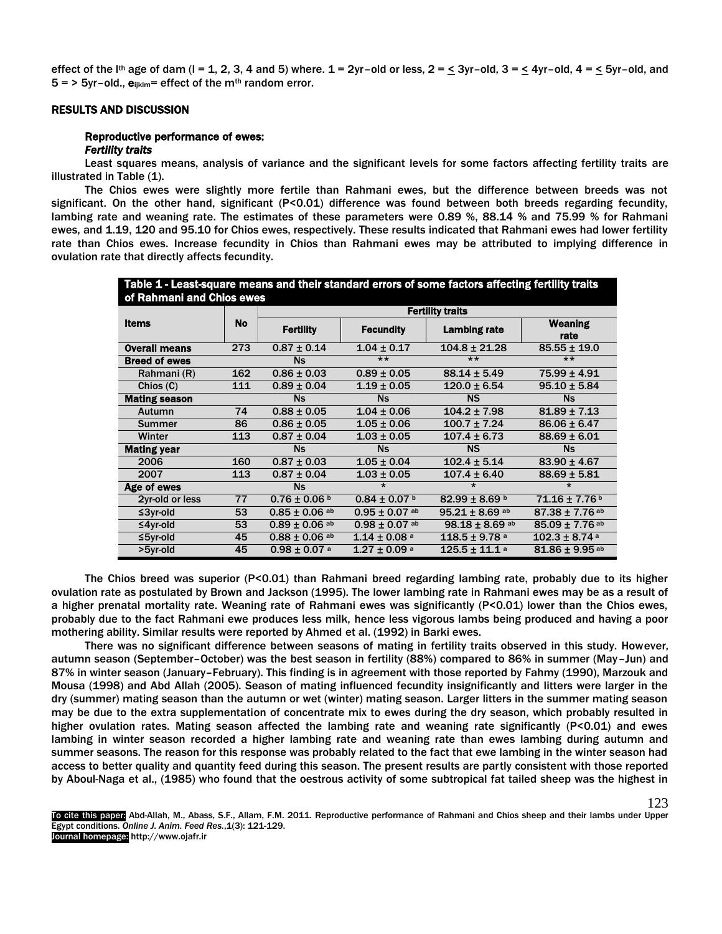effect of the I<sup>th</sup> age of dam (I = 1, 2, 3, 4 and 5) where.  $1 = 2$ yr-old or less,  $2 = \leq 3$ yr-old,  $3 = \leq 4$ yr-old,  $4 = \leq 5$ yr-old, and  $5 =$  > 5yr-old.,  $e_{ijklm}$ = effect of the m<sup>th</sup> random error.

## RESULTS AND DISCUSSION

# Reproductive performance of ewes:

## *Fertility traits*

Least squares means, analysis of variance and the significant levels for some factors affecting fertility traits are illustrated in Table (1).

The Chios ewes were slightly more fertile than Rahmani ewes, but the difference between breeds was not significant. On the other hand, significant (P<0.01) difference was found between both breeds regarding fecundity, lambing rate and weaning rate. The estimates of these parameters were 0.89 %, 88.14 % and 75.99 % for Rahmani ewes, and 1.19, 120 and 95.10 for Chios ewes, respectively. These results indicated that Rahmani ewes had lower fertility rate than Chios ewes. Increase fecundity in Chios than Rahmani ewes may be attributed to implying difference in ovulation rate that directly affects fecundity.

| Table 1 - Least-square means and their standard errors of some factors affecting fertility traits<br>of Rahmani and Chios ewes |     |                              |                              |                                |                                |  |  |  |
|--------------------------------------------------------------------------------------------------------------------------------|-----|------------------------------|------------------------------|--------------------------------|--------------------------------|--|--|--|
| <b>Items</b>                                                                                                                   |     | <b>Fertility traits</b>      |                              |                                |                                |  |  |  |
|                                                                                                                                | No  | <b>Fertility</b>             | <b>Fecundity</b>             | <b>Lambing rate</b>            | <b>Weaning</b><br>rate         |  |  |  |
| <b>Overall means</b>                                                                                                           | 273 | $0.87 \pm 0.14$              | $1.04 \pm 0.17$              | $104.8 \pm 21.28$              | $85.55 \pm 19.0$               |  |  |  |
| <b>Breed of ewes</b>                                                                                                           |     | <b>Ns</b>                    | $***$                        | $***$                          | $***$                          |  |  |  |
| Rahmani (R)                                                                                                                    | 162 | $0.86 \pm 0.03$              | $0.89 \pm 0.05$              | $88.14 \pm 5.49$               | $75.99 \pm 4.91$               |  |  |  |
| Chios (C)                                                                                                                      | 111 | $0.89 \pm 0.04$              | $1.19 \pm 0.05$              | $120.0 \pm 6.54$               | $95.10 \pm 5.84$               |  |  |  |
| <b>Mating season</b>                                                                                                           |     | <b>Ns</b>                    | <b>Ns</b>                    | <b>NS</b>                      | <b>Ns</b>                      |  |  |  |
| Autumn                                                                                                                         | 74  | $0.88 \pm 0.05$              | $1.04 \pm 0.06$              | $104.2 \pm 7.98$               | $81.89 \pm 7.13$               |  |  |  |
| <b>Summer</b>                                                                                                                  | 86  | $0.86 \pm 0.05$              | $1.05 \pm 0.06$              |                                | $86.06 \pm 6.47$               |  |  |  |
| Winter                                                                                                                         | 113 | $0.87 \pm 0.04$              | $1.03 \pm 0.05$              | $107.4 \pm 6.73$               | $88.69 \pm 6.01$               |  |  |  |
| <b>Mating year</b>                                                                                                             |     | <b>Ns</b>                    | <b>Ns</b>                    | <b>NS</b>                      | <b>Ns</b>                      |  |  |  |
| 2006                                                                                                                           | 160 | $0.87 \pm 0.03$              | $1.05 \pm 0.04$              | $102.4 \pm 5.14$               | $83.90 \pm 4.67$               |  |  |  |
| 2007                                                                                                                           | 113 | $0.87 \pm 0.04$              | $1.03 \pm 0.05$              | $107.4 \pm 6.40$               | $88.69 \pm 5.81$               |  |  |  |
| Age of ewes                                                                                                                    |     | <b>Ns</b>                    | $\star$                      | $\star$                        | $\star$                        |  |  |  |
| 2yr-old or less                                                                                                                | 77  | $0.76 \pm 0.06$ b            | $0.84 \pm 0.07$ b            | $82.99 \pm 8.69$ b             | $71.16 \pm 7.76$               |  |  |  |
| $≤3$ yr-old                                                                                                                    | 53  | $0.85 \pm 0.06$ ab           | $0.95 \pm 0.07$ ab           | $95.21 \pm 8.69$ ab            | $87.38 \pm 7.76$ ab            |  |  |  |
| $≤4$ yr-old                                                                                                                    | 53  | $0.89 \pm 0.06$ ab           | $0.98 \pm 0.07$ ab           | $98.18 \pm 8.69$ <sup>ab</sup> | $85.09 \pm 7.76$ ab            |  |  |  |
| ≤5yr-old                                                                                                                       | 45  | $0.88 \pm 0.06$ ab           | $1.14 \pm 0.08$ <sup>a</sup> | $118.5 \pm 9.78$ <sup>a</sup>  | $102.3 \pm 8.74$ <sup>a</sup>  |  |  |  |
| >5yr-old                                                                                                                       | 45  | $0.98 \pm 0.07$ <sup>a</sup> | $1.27 \pm 0.09$ <sup>a</sup> | $125.5 \pm 11.1$ <sup>a</sup>  | $81.86 \pm 9.95$ <sup>ab</sup> |  |  |  |

The Chios breed was superior (P<0.01) than Rahmani breed regarding lambing rate, probably due to its higher ovulation rate as postulated by Brown and Jackson (1995). The lower lambing rate in Rahmani ewes may be as a result of a higher prenatal mortality rate. Weaning rate of Rahmani ewes was significantly (P<0.01) lower than the Chios ewes, probably due to the fact Rahmani ewe produces less milk, hence less vigorous lambs being produced and having a poor mothering ability. Similar results were reported by Ahmed et al. (1992) in Barki ewes.

There was no significant difference between seasons of mating in fertility traits observed in this study. However, autumn season (September–October) was the best season in fertility (88%) compared to 86% in summer (May–Jun) and 87% in winter season (January–February). This finding is in agreement with those reported by Fahmy (1990), Marzouk and Mousa (1998) and Abd Allah (2005). Season of mating influenced fecundity insignificantly and litters were larger in the dry (summer) mating season than the autumn or wet (winter) mating season. Larger litters in the summer mating season may be due to the extra supplementation of concentrate mix to ewes during the dry season, which probably resulted in higher ovulation rates. Mating season affected the lambing rate and weaning rate significantly (P<0.01) and ewes lambing in winter season recorded a higher lambing rate and weaning rate than ewes lambing during autumn and summer seasons. The reason for this response was probably related to the fact that ewe lambing in the winter season had access to better quality and quantity feed during this season. The present results are partly consistent with those reported by Aboul-Naga et al., (1985) who found that the oestrous activity of some subtropical fat tailed sheep was the highest in

To cite this paper: Abd-Allah, M., Abass, S.F., Allam, F.M. 2011. Reproductive performance of Rahmani and Chios sheep and their lambs under Upper Egypt conditions. *Online J. Anim. Feed Res.*,1(3): 121-129. Journal homepage: http://www.ojafr.ir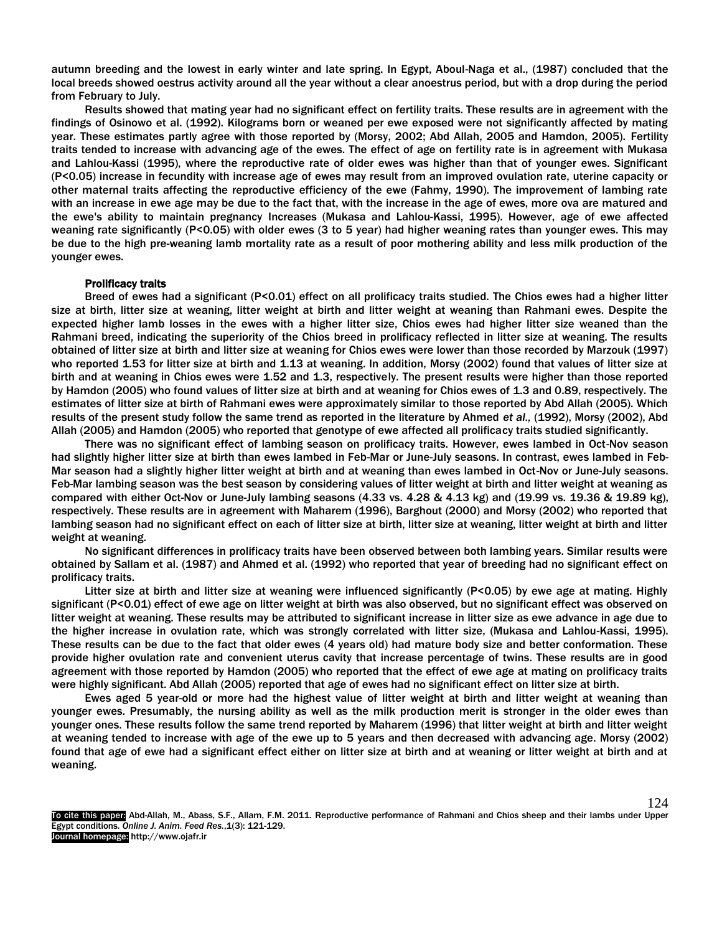autumn breeding and the lowest in early winter and late spring. In Egypt, Aboul-Naga et al., (1987) concluded that the local breeds showed oestrus activity around all the year without a clear anoestrus period, but with a drop during the period from February to July.

Results showed that mating year had no significant effect on fertility traits. These results are in agreement with the findings of Osinowo et al. (1992). Kilograms born or weaned per ewe exposed were not significantly affected by mating year. These estimates partly agree with those reported by (Morsy, 2002; Abd Allah, 2005 and Hamdon, 2005). Fertility traits tended to increase with advancing age of the ewes. The effect of age on fertility rate is in agreement with Mukasa and Lahlou-Kassi (1995), where the reproductive rate of older ewes was higher than that of younger ewes. Significant (P<0.05) increase in fecundity with increase age of ewes may result from an improved ovulation rate, uterine capacity or other maternal traits affecting the reproductive efficiency of the ewe (Fahmy, 1990). The improvement of lambing rate with an increase in ewe age may be due to the fact that, with the increase in the age of ewes, more ova are matured and the ewe's ability to maintain pregnancy Increases (Mukasa and Lahlou-Kassi, 1995). However, age of ewe affected weaning rate significantly (P<0.05) with older ewes (3 to 5 year) had higher weaning rates than younger ewes. This may be due to the high pre-weaning lamb mortality rate as a result of poor mothering ability and less milk production of the younger ewes.

## Prolificacy traits

Breed of ewes had a significant (P<0.01) effect on all prolificacy traits studied. The Chios ewes had a higher litter size at birth, litter size at weaning, litter weight at birth and litter weight at weaning than Rahmani ewes. Despite the expected higher lamb losses in the ewes with a higher litter size, Chios ewes had higher litter size weaned than the Rahmani breed, indicating the superiority of the Chios breed in prolificacy reflected in litter size at weaning. The results obtained of litter size at birth and litter size at weaning for Chios ewes were lower than those recorded by Marzouk (1997) who reported 1.53 for litter size at birth and 1.13 at weaning. In addition, Morsy (2002) found that values of litter size at birth and at weaning in Chios ewes were 1.52 and 1.3, respectively. The present results were higher than those reported by Hamdon (2005) who found values of litter size at birth and at weaning for Chios ewes of 1.3 and 0.89, respectively. The estimates of litter size at birth of Rahmani ewes were approximately similar to those reported by Abd Allah (2005). Which results of the present study follow the same trend as reported in the literature by Ahmed *et al.,* (1992), Morsy (2002), Abd Allah (2005) and Hamdon (2005) who reported that genotype of ewe affected all prolificacy traits studied significantly.

There was no significant effect of lambing season on prolificacy traits. However, ewes lambed in Oct-Nov season had slightly higher litter size at birth than ewes lambed in Feb-Mar or June-July seasons. In contrast, ewes lambed in Feb-Mar season had a slightly higher litter weight at birth and at weaning than ewes lambed in Oct-Nov or June-July seasons. Feb-Mar lambing season was the best season by considering values of litter weight at birth and litter weight at weaning as compared with either Oct-Nov or June-July lambing seasons (4.33 vs. 4.28 & 4.13 kg) and (19.99 vs. 19.36 & 19.89 kg), respectively. These results are in agreement with Maharem (1996), Barghout (2000) and Morsy (2002) who reported that lambing season had no significant effect on each of litter size at birth, litter size at weaning, litter weight at birth and litter weight at weaning.

No significant differences in prolificacy traits have been observed between both lambing years. Similar results were obtained by Sallam et al. (1987) and Ahmed et al. (1992) who reported that year of breeding had no significant effect on prolificacy traits.

Litter size at birth and litter size at weaning were influenced significantly (P<0.05) by ewe age at mating. Highly significant (P<0.01) effect of ewe age on litter weight at birth was also observed, but no significant effect was observed on litter weight at weaning. These results may be attributed to significant increase in litter size as ewe advance in age due to the higher increase in ovulation rate, which was strongly correlated with litter size, (Mukasa and Lahlou-Kassi, 1995). These results can be due to the fact that older ewes (4 years old) had mature body size and better conformation. These provide higher ovulation rate and convenient uterus cavity that increase percentage of twins. These results are in good agreement with those reported by Hamdon (2005) who reported that the effect of ewe age at mating on prolificacy traits were highly significant. Abd Allah (2005) reported that age of ewes had no significant effect on litter size at birth.

Ewes aged 5 year-old or more had the highest value of litter weight at birth and litter weight at weaning than younger ewes. Presumably, the nursing ability as well as the milk production merit is stronger in the older ewes than younger ones. These results follow the same trend reported by Maharem (1996) that litter weight at birth and litter weight at weaning tended to increase with age of the ewe up to 5 years and then decreased with advancing age. Morsy (2002) found that age of ewe had a significant effect either on litter size at birth and at weaning or litter weight at birth and at weaning.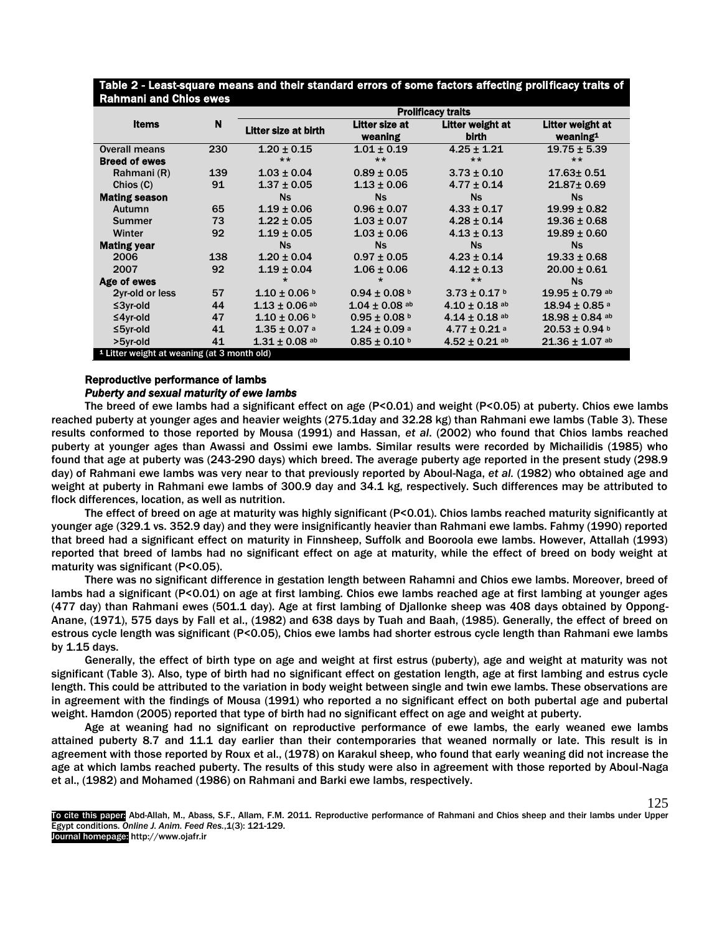|                                                        | N   | <b>Prolificacy traits</b>    |                               |                              |                                             |  |
|--------------------------------------------------------|-----|------------------------------|-------------------------------|------------------------------|---------------------------------------------|--|
| <b>Items</b>                                           |     | Litter size at birth         | <b>Litter size at</b>         | Litter weight at             | Litter weight at<br>$w$ eaning <sup>1</sup> |  |
|                                                        |     |                              | weaning                       | <b>birth</b>                 |                                             |  |
| <b>Overall means</b>                                   | 230 | $1.20 \pm 0.15$              | $1.01 \pm 0.19$               | $4.25 \pm 1.21$              | $19.75 \pm 5.39$                            |  |
| <b>Breed of ewes</b>                                   |     | $***$                        | $***$                         | $**$                         | $***$                                       |  |
| Rahmani (R)                                            | 139 | $1.03 \pm 0.04$              | $0.89 \pm 0.05$               | $3.73 \pm 0.10$              | $17.63 \pm 0.51$                            |  |
| Chios(C)                                               | 91  | $1.37 \pm 0.05$              | $1.13 \pm 0.06$               | $4.77 \pm 0.14$              | $21.87 \pm 0.69$                            |  |
| <b>Mating season</b>                                   |     | <b>Ns</b>                    | <b>Ns</b>                     | <b>Ns</b>                    | <b>Ns</b>                                   |  |
| Autumn                                                 | 65  | $1.19 \pm 0.06$              | $0.96 \pm 0.07$               | $4.33 \pm 0.17$              | $19.99 \pm 0.82$                            |  |
| Summer                                                 | 73  | $1.22 \pm 0.05$              | $1.03 \pm 0.07$               | $4.28 \pm 0.14$              | $19.36 \pm 0.68$                            |  |
| Winter                                                 | 92  | $1.19 \pm 0.05$              | $1.03 \pm 0.06$               | $4.13 \pm 0.13$              | $19.89 \pm 0.60$                            |  |
| <b>Mating year</b>                                     |     | <b>Ns</b>                    | <b>Ns</b>                     | <b>Ns</b>                    | <b>Ns</b>                                   |  |
| 2006                                                   | 138 | $1.20 \pm 0.04$              | $0.97 \pm 0.05$               | $4.23 \pm 0.14$              | $19.33 \pm 0.68$                            |  |
| 2007                                                   | 92  | $1.19 \pm 0.04$              | $1.06 \pm 0.06$               | $4.12 \pm 0.13$              | $20.00 \pm 0.61$                            |  |
| Age of ewes                                            |     | $\star$                      | $\star$                       | $***$                        | <b>Ns</b>                                   |  |
| 2yr-old or less                                        | 57  | $1.10 \pm 0.06$ b            | $0.94 \pm 0.08$ b             | $3.73 \pm 0.17$ b            | $19.95 \pm 0.79$ ab                         |  |
| $≤3$ yr-old                                            | 44  | $1.13 \pm 0.06$ ab           | $1.04 \pm 0.08$ <sup>ab</sup> | $4.10 \pm 0.18$ ab           | $18.94 \pm 0.85$ <sup>a</sup>               |  |
| $≤4$ yr-old                                            | 47  | $1.10 \pm 0.06$ b            | $0.95 \pm 0.08$ b             | $4.14 \pm 0.18$ ab           | $18.98 \pm 0.84$ <sup>ab</sup>              |  |
| $≤5$ γr-old                                            | 41  | $1.35 \pm 0.07$ <sup>a</sup> | $1.24 \pm 0.09$ <sup>a</sup>  | $4.77 \pm 0.21$ <sup>a</sup> | $20.53 \pm 0.94$ b                          |  |
| >5yr-old                                               | 41  | $1.31 \pm 0.08$ ab           | $0.85 \pm 0.10$ b             | $4.52 \pm 0.21$ ab           | $21.36 \pm 1.07$ ab                         |  |
| <sup>1</sup> Litter weight at weaning (at 3 month old) |     |                              |                               |                              |                                             |  |

Table 2 - Least-square means and their standard errors of some factors affecting prolificacy traits of Rahmani and Chios ewes

# Reproductive performance of lambs

## *Puberty and sexual maturity of ewe lambs*

The breed of ewe lambs had a significant effect on age (P<0.01) and weight (P<0.05) at puberty. Chios ewe lambs reached puberty at younger ages and heavier weights (275.1day and 32.28 kg) than Rahmani ewe lambs (Table 3). These results conformed to those reported by Mousa (1991) and Hassan, *et al*. (2002) who found that Chios lambs reached puberty at younger ages than Awassi and Ossimi ewe lambs. Similar results were recorded by Michailidis (1985) who found that age at puberty was (243-290 days) which breed. The average puberty age reported in the present study (298.9 day) of Rahmani ewe lambs was very near to that previously reported by Aboul-Naga, *et al.* (1982) who obtained age and weight at puberty in Rahmani ewe lambs of 300.9 day and 34.1 kg, respectively. Such differences may be attributed to flock differences, location, as well as nutrition.

The effect of breed on age at maturity was highly significant (P<0.01). Chios lambs reached maturity significantly at younger age (329.1 vs. 352.9 day) and they were insignificantly heavier than Rahmani ewe lambs. Fahmy (1990) reported that breed had a significant effect on maturity in Finnsheep, Suffolk and Booroola ewe lambs. However, Attallah (1993) reported that breed of lambs had no significant effect on age at maturity, while the effect of breed on body weight at maturity was significant (P<0.05).

There was no significant difference in gestation length between Rahamni and Chios ewe lambs. Moreover, breed of lambs had a significant (P<0.01) on age at first lambing. Chios ewe lambs reached age at first lambing at younger ages (477 day) than Rahmani ewes (501.1 day). Age at first lambing of Djallonke sheep was 408 days obtained by Oppong-Anane, (1971), 575 days by Fall et al., (1982) and 638 days by Tuah and Baah, (1985). Generally, the effect of breed on estrous cycle length was significant (P<0.05), Chios ewe lambs had shorter estrous cycle length than Rahmani ewe lambs by 1.15 days.

Generally, the effect of birth type on age and weight at first estrus (puberty), age and weight at maturity was not significant (Table 3). Also, type of birth had no significant effect on gestation length, age at first lambing and estrus cycle length. This could be attributed to the variation in body weight between single and twin ewe lambs. These observations are in agreement with the findings of Mousa (1991) who reported a no significant effect on both pubertal age and pubertal weight. Hamdon (2005) reported that type of birth had no significant effect on age and weight at puberty.

Age at weaning had no significant on reproductive performance of ewe lambs, the early weaned ewe lambs attained puberty 8.7 and 11.1 day earlier than their contemporaries that weaned normally or late. This result is in agreement with those reported by Roux et al., (1978) on Karakul sheep, who found that early weaning did not increase the age at which lambs reached puberty. The results of this study were also in agreement with those reported by Aboul-Naga et al., (1982) and Mohamed (1986) on Rahmani and Barki ewe lambs, respectively.

To cite this paper: Abd-Allah, M., Abass, S.F., Allam, F.M. 2011. Reproductive performance of Rahmani and Chios sheep and their lambs under Upper Egypt conditions. *Online J. Anim. Feed Res.*,1(3): 121-129. Journal homepage: http://www.ojafr.ir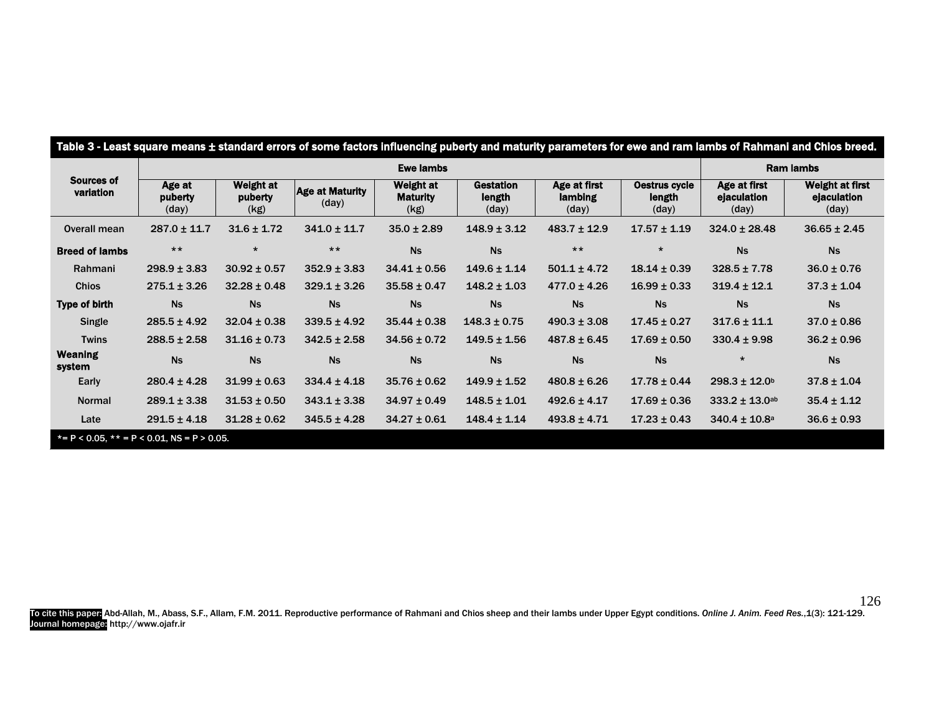| Sources of<br>variation  | <b>Ewe lambs</b>           |                                     |                                 |                                      |                                     |                                  | <b>Ram lambs</b>                 |                                      |                                                |
|--------------------------|----------------------------|-------------------------------------|---------------------------------|--------------------------------------|-------------------------------------|----------------------------------|----------------------------------|--------------------------------------|------------------------------------------------|
|                          | Age at<br>puberty<br>(day) | <b>Weight at</b><br>puberty<br>(kg) | <b>Age at Maturity</b><br>(day) | Weight at<br><b>Maturity</b><br>(kg) | <b>Gestation</b><br>length<br>(day) | Age at first<br>lambing<br>(day) | Oestrus cycle<br>length<br>(day) | Age at first<br>ejaculation<br>(day) | <b>Weight at first</b><br>ejaculation<br>(day) |
| Overall mean             | $287.0 \pm 11.7$           | $31.6 \pm 1.72$                     | $341.0 \pm 11.7$                | $35.0 \pm 2.89$                      | $148.9 \pm 3.12$                    | $483.7 \pm 12.9$                 | $17.57 \pm 1.19$                 | $324.0 \pm 28.48$                    | $36.65 \pm 2.45$                               |
| <b>Breed of lambs</b>    | $***$                      | $\star$                             | $***$                           | <b>Ns</b>                            | <b>Ns</b>                           | $***$                            | $\star$                          | <b>Ns</b>                            | <b>Ns</b>                                      |
| Rahmani                  | $298.9 \pm 3.83$           | $30.92 \pm 0.57$                    | $352.9 \pm 3.83$                | $34.41 \pm 0.56$                     | $149.6 \pm 1.14$                    | $501.1 \pm 4.72$                 | $18.14 \pm 0.39$                 | $328.5 \pm 7.78$                     | $36.0 \pm 0.76$                                |
| <b>Chios</b>             | $275.1 \pm 3.26$           | $32.28 \pm 0.48$                    | $329.1 \pm 3.26$                | $35.58 \pm 0.47$                     | $148.2 \pm 1.03$                    | $477.0 \pm 4.26$                 | $16.99 \pm 0.33$                 | $319.4 \pm 12.1$                     | $37.3 \pm 1.04$                                |
| <b>Type of birth</b>     | <b>Ns</b>                  | <b>Ns</b>                           | <b>Ns</b>                       | <b>Ns</b>                            | <b>Ns</b>                           | <b>Ns</b>                        | <b>Ns</b>                        | <b>Ns</b>                            | <b>Ns</b>                                      |
| Single                   | $285.5 \pm 4.92$           | $32.04 \pm 0.38$                    | $339.5 \pm 4.92$                | $35.44 \pm 0.38$                     | $148.3 \pm 0.75$                    | $490.3 \pm 3.08$                 | $17.45 \pm 0.27$                 | $317.6 \pm 11.1$                     | $37.0 \pm 0.86$                                |
| <b>Twins</b>             | $288.5 \pm 2.58$           | $31.16 \pm 0.73$                    | $342.5 \pm 2.58$                | $34.56 \pm 0.72$                     | $149.5 \pm 1.56$                    | $487.8 \pm 6.45$                 | $17.69 \pm 0.50$                 | $330.4 \pm 9.98$                     | $36.2 \pm 0.96$                                |
| <b>Weaning</b><br>system | <b>Ns</b>                  | <b>Ns</b>                           | <b>Ns</b>                       | <b>Ns</b>                            | <b>Ns</b>                           | <b>Ns</b>                        | <b>Ns</b>                        | $\star$                              | <b>Ns</b>                                      |
| Early                    | $280.4 \pm 4.28$           | $31.99 \pm 0.63$                    | $334.4 \pm 4.18$                | $35.76 \pm 0.62$                     | $149.9 \pm 1.52$                    | $480.8 \pm 6.26$                 | $17.78 \pm 0.44$                 | $298.3 \pm 12.0^b$                   | $37.8 \pm 1.04$                                |
| <b>Normal</b>            | $289.1 \pm 3.38$           | $31.53 \pm 0.50$                    | $343.1 \pm 3.38$                | $34.97 \pm 0.49$                     | $148.5 \pm 1.01$                    | $492.6 \pm 4.17$                 | $17.69 \pm 0.36$                 | $333.2 \pm 13.0$ ab                  | $35.4 \pm 1.12$                                |
| Late                     | $291.5 \pm 4.18$           | $31.28 \pm 0.62$                    | $345.5 \pm 4.28$                | $34.27 \pm 0.61$                     | $148.4 \pm 1.14$                    | $493.8 \pm 4.71$                 | $17.23 \pm 0.43$                 | $340.4 \pm 10.8$ a                   | $36.6 \pm 0.93$                                |

To cite this paper: Abd-Allah, M., Abass, S.F., Allam, F.M. 2011. Reproductive performance of Rahmani and Chios sheep and their lambs under Upper Egypt conditions. *Online J. Anim. Feed Res.*,1(3): 121-129. Journal homepage: http://www.ojafr.ir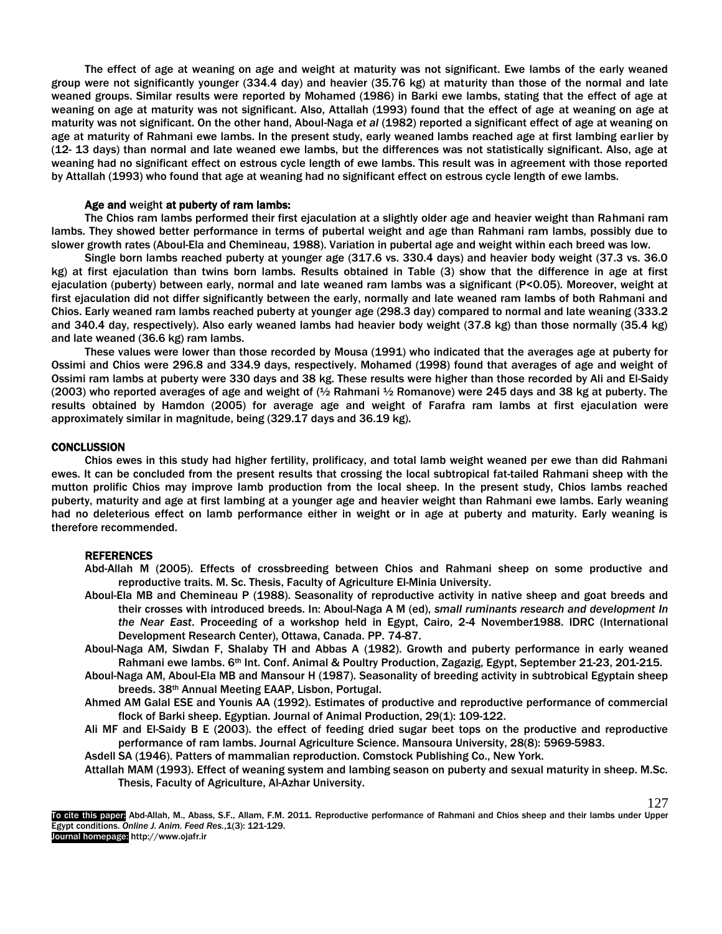The effect of age at weaning on age and weight at maturity was not significant. Ewe lambs of the early weaned group were not significantly younger (334.4 day) and heavier (35.76 kg) at maturity than those of the normal and late weaned groups. Similar results were reported by Mohamed (1986) in Barki ewe lambs, stating that the effect of age at weaning on age at maturity was not significant. Also, Attallah (1993) found that the effect of age at weaning on age at maturity was not significant. On the other hand, Aboul-Naga *et al* (1982) reported a significant effect of age at weaning on age at maturity of Rahmani ewe lambs. In the present study, early weaned lambs reached age at first lambing earlier by (12- 13 days) than normal and late weaned ewe lambs, but the differences was not statistically significant. Also, age at weaning had no significant effect on estrous cycle length of ewe lambs. This result was in agreement with those reported by Attallah (1993) who found that age at weaning had no significant effect on estrous cycle length of ewe lambs.

### Age and weight at puberty of ram lambs:

The Chios ram lambs performed their first ejaculation at a slightly older age and heavier weight than Rahmani ram lambs. They showed better performance in terms of pubertal weight and age than Rahmani ram lambs, possibly due to slower growth rates (Aboul-Ela and Chemineau, 1988). Variation in pubertal age and weight within each breed was low.

Single born lambs reached puberty at younger age (317.6 vs. 330.4 days) and heavier body weight (37.3 vs. 36.0 kg) at first ejaculation than twins born lambs. Results obtained in Table (3) show that the difference in age at first ejaculation (puberty) between early, normal and late weaned ram lambs was a significant (P<0.05). Moreover, weight at first ejaculation did not differ significantly between the early, normally and late weaned ram lambs of both Rahmani and Chios. Early weaned ram lambs reached puberty at younger age (298.3 day) compared to normal and late weaning (333.2 and 340.4 day, respectively). Also early weaned lambs had heavier body weight (37.8 kg) than those normally (35.4 kg) and late weaned (36.6 kg) ram lambs.

These values were lower than those recorded by Mousa (1991) who indicated that the averages age at puberty for Ossimi and Chios were 296.8 and 334.9 days, respectively. Mohamed (1998) found that averages of age and weight of Ossimi ram lambs at puberty were 330 days and 38 kg. These results were higher than those recorded by Ali and El-Saidy (2003) who reported averages of age and weight of (½ Rahmani ½ Romanove) were 245 days and 38 kg at puberty. The results obtained by Hamdon (2005) for average age and weight of Farafra ram lambs at first ejaculation were approximately similar in magnitude, being (329.17 days and 36.19 kg).

## **CONCLUSSION**

Chios ewes in this study had higher fertility, prolificacy, and total lamb weight weaned per ewe than did Rahmani ewes. It can be concluded from the present results that crossing the local subtropical fat-tailed Rahmani sheep with the mutton prolific Chios may improve lamb production from the local sheep. In the present study, Chios lambs reached puberty, maturity and age at first lambing at a younger age and heavier weight than Rahmani ewe lambs. Early weaning had no deleterious effect on lamb performance either in weight or in age at puberty and maturity. Early weaning is therefore recommended.

#### REFERENCES

Abd-Allah M (2005). Effects of crossbreeding between Chios and Rahmani sheep on some productive and reproductive traits. M. Sc. Thesis, Faculty of Agriculture El-Minia University.

- Aboul-Ela MB and Chemineau P (1988). Seasonality of reproductive activity in native sheep and goat breeds and their crosses with introduced breeds. In: Aboul-Naga A M (ed), *small ruminants research and development In the Near East*. Proceeding of a workshop held in Egypt, Cairo, 2-4 November1988. IDRC (International Development Research Center), Ottawa, Canada. PP. 74-87.
- Aboul-Naga AM, Siwdan F, Shalaby TH and Abbas A (1982). Growth and puberty performance in early weaned Rahmani ewe lambs. 6<sup>th</sup> Int. Conf. Animal & Poultry Production, Zagazig, Egypt, September 21-23, 201-215.
- Aboul-Naga AM, Aboul-Ela MB and Mansour H (1987). Seasonality of breeding activity in subtrobical Egyptain sheep breeds. 38th Annual Meeting EAAP, Lisbon, Portugal.
- Ahmed AM Galal ESE and Younis AA (1992). Estimates of productive and reproductive performance of commercial flock of Barki sheep. Egyptian. Journal of Animal Production, 29(1): 109-122.
- Ali MF and El-Saidy B E (2003). the effect of feeding dried sugar beet tops on the productive and reproductive performance of ram lambs. Journal Agriculture Science. Mansoura University, 28(8): 5969-5983.

Asdell SA (1946). Patters of mammalian reproduction. Comstock Publishing Co., New York.

Attallah MAM (1993). Effect of weaning system and lambing season on puberty and sexual maturity in sheep. M.Sc. Thesis, Faculty of Agriculture, Al-Azhar University.

To cite this paper: Abd-Allah, M., Abass, S.F., Allam, F.M. 2011. Reproductive performance of Rahmani and Chios sheep and their lambs under Upper Egypt conditions. *Online J. Anim. Feed Res.*,1(3): 121-129. Journal homepage: http://www.ojafr.ir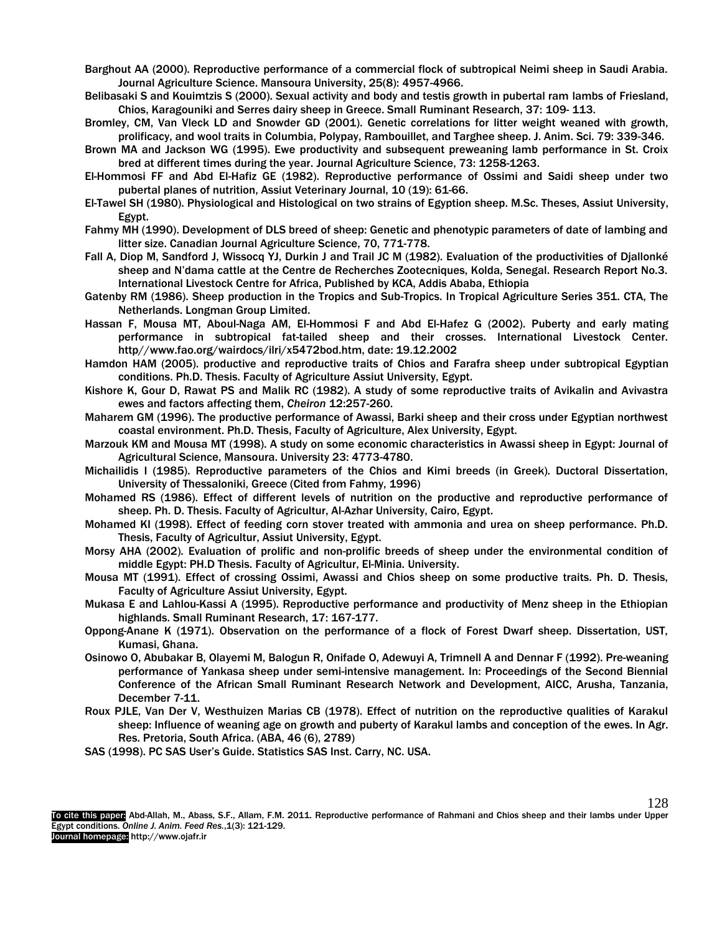Barghout AA (2000). Reproductive performance of a commercial flock of subtropical Neimi sheep in Saudi Arabia. Journal Agriculture Science. Mansoura University, 25(8): 4957-4966.

- Belibasaki S and Kouimtzis S (2000). Sexual activity and body and testis growth in pubertal ram lambs of Friesland, Chios, Karagouniki and Serres dairy sheep in Greece. Small Ruminant Research, 37: 109- 113.
- Bromley, CM, Van Vleck LD and Snowder GD (2001). Genetic correlations for litter weight weaned with growth, prolificacy, and wool traits in Columbia, Polypay, Rambouillet, and Targhee sheep. J. Anim. Sci. 79: 339-346.
- Brown MA and Jackson WG (1995). Ewe productivity and subsequent preweaning lamb performance in St. Croix bred at different times during the year. Journal Agriculture Science, 73: 1258-1263.
- El-Hommosi FF and Abd El-Hafiz GE (1982). Reproductive performance of Ossimi and Saidi sheep under two pubertal planes of nutrition, Assiut Veterinary Journal, 10 (19): 61-66.
- El-Tawel SH (1980). Physiological and Histological on two strains of Egyption sheep. M.Sc. Theses, Assiut University, Egypt.
- Fahmy MH (1990). Development of DLS breed of sheep: Genetic and phenotypic parameters of date of lambing and litter size. Canadian Journal Agriculture Science, 70, 771-778.
- Fall A, Diop M, Sandford J, Wissocq YJ, Durkin J and Trail JC M (1982). Evaluation of the productivities of Djallonké sheep and N'dama cattle at the Centre de Recherches Zootecniques, Kolda, Senegal. Research Report No.3. International Livestock Centre for Africa, Published by KCA, Addis Ababa, Ethiopia
- Gatenby RM (1986). Sheep production in the Tropics and Sub-Tropics. In Tropical Agriculture Series 351. CTA, The Netherlands. Longman Group Limited.
- Hassan F, Mousa MT, Aboul-Naga AM, El-Hommosi F and Abd El-Hafez G (2002). Puberty and early mating performance in subtropical fat-tailed sheep and their crosses. International Livestock Center. http//www.fao.org/wairdocs/ilri/x5472bod.htm, date: 19.12.2002
- Hamdon HAM (2005). productive and reproductive traits of Chios and Farafra sheep under subtropical Egyptian conditions. Ph.D. Thesis. Faculty of Agriculture Assiut University, Egypt.
- Kishore K, Gour D, Rawat PS and Malik RC (1982). A study of some reproductive traits of Avikalin and Avivastra ewes and factors affecting them, *Cheiron* 12:257-260.
- Maharem GM (1996). The productive performance of Awassi, Barki sheep and their cross under Egyptian northwest coastal environment. Ph.D. Thesis, Faculty of Agriculture, Alex University, Egypt.
- Marzouk KM and Mousa MT (1998). A study on some economic characteristics in Awassi sheep in Egypt: Journal of Agricultural Science, Mansoura. University 23: 4773-4780.
- Michailidis I (1985). Reproductive parameters of the Chios and Kimi breeds (in Greek). Ductoral Dissertation, University of Thessaloniki, Greece (Cited from Fahmy, 1996)
- Mohamed RS (1986). Effect of different levels of nutrition on the productive and reproductive performance of sheep. Ph. D. Thesis. Faculty of Agricultur, Al-Azhar University, Cairo, Egypt.
- Mohamed KI (1998). Effect of feeding corn stover treated with ammonia and urea on sheep performance. Ph.D. Thesis, Faculty of Agricultur, Assiut University, Egypt.
- Morsy AHA (2002). Evaluation of prolific and non-prolific breeds of sheep under the environmental condition of middle Egypt: PH.D Thesis. Faculty of Agricultur, El-Minia. University.
- Mousa MT (1991). Effect of crossing Ossimi, Awassi and Chios sheep on some productive traits. Ph. D. Thesis, Faculty of Agriculture Assiut University, Egypt.
- Mukasa E and Lahlou-Kassi A (1995). Reproductive performance and productivity of Menz sheep in the Ethiopian highlands. Small Ruminant Research, 17: 167-177.
- Oppong-Anane K (1971). Observation on the performance of a flock of Forest Dwarf sheep. Dissertation, UST, Kumasi, Ghana.
- Osinowo O, Abubakar B, Olayemi M, Balogun R, Onifade O, Adewuyi A, Trimnell A and Dennar F (1992). Pre-weaning performance of Yankasa sheep under semi-intensive management. In: Proceedings of the Second Biennial Conference of the African Small Ruminant Research Network and Development, AICC, Arusha, Tanzania, December 7-11.
- Roux PJLE, Van Der V, Westhuizen Marias CB (1978). Effect of nutrition on the reproductive qualities of Karakul sheep: Influence of weaning age on growth and puberty of Karakul lambs and conception of the ewes. In Agr. Res. Pretoria, South Africa. (ABA, 46 (6), 2789)
- SAS (1998). PC SAS User's Guide. Statistics SAS Inst. Carry, NC. USA.